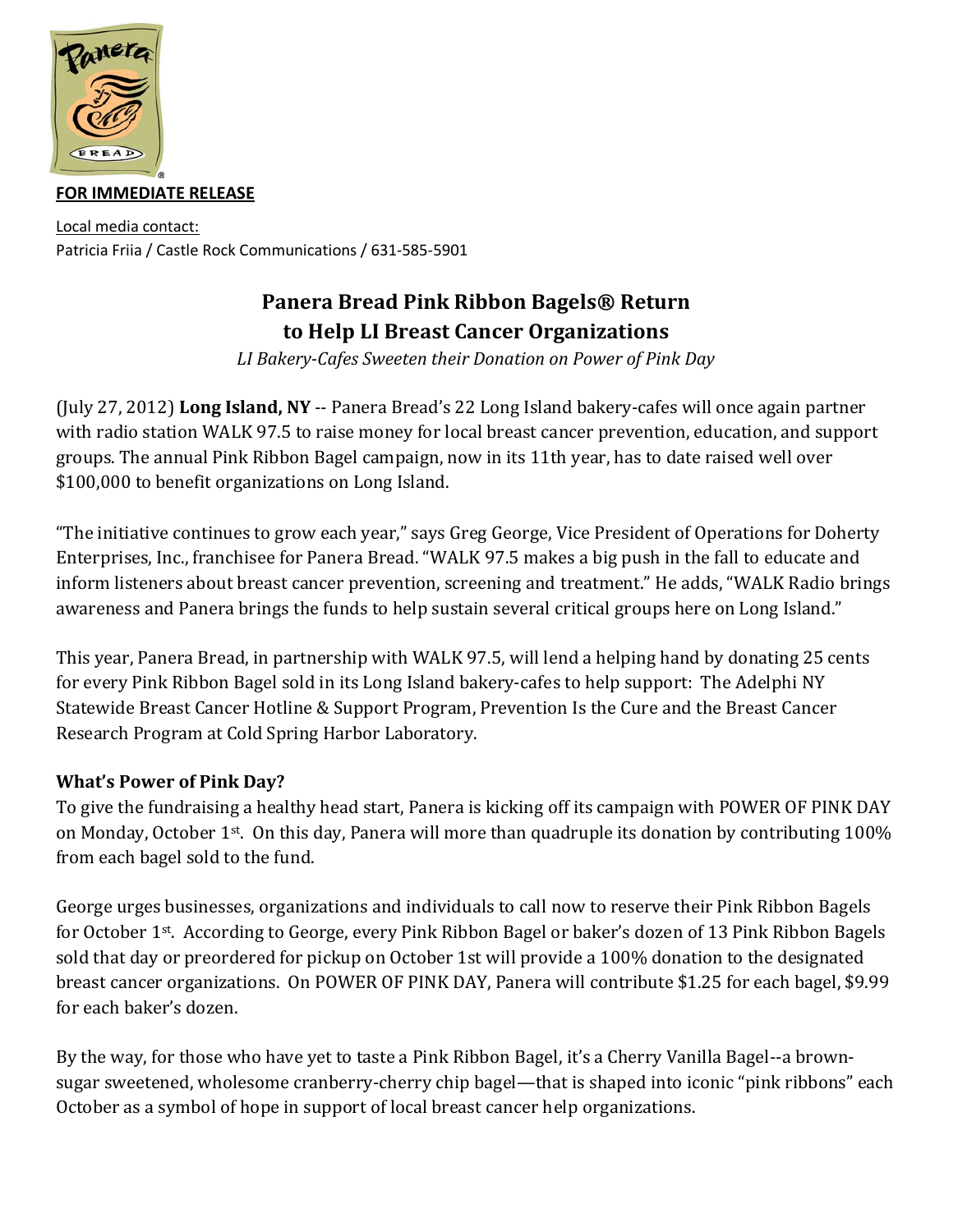

## **FOR IMMEDIATE RELEASE**

Local media contact: Patricia Friia / Castle Rock Communications / 631-585-5901

# **Panera Bread Pink Ribbon Bagels® Return to Help LI Breast Cancer Organizations**

*LI Bakery-Cafes Sweeten their Donation on Power of Pink Day* 

(July 27, 2012) **Long Island, NY** -- Panera Bread's 22 Long Island bakery-cafes will once again partner with radio station WALK 97.5 to raise money for local breast cancer prevention, education, and support groups. The annual Pink Ribbon Bagel campaign, now in its 11th year, has to date raised well over \$100,000 to benefit organizations on Long Island.

"The initiative continues to grow each year," says Greg George, Vice President of Operations for Doherty Enterprises, Inc., franchisee for Panera Bread. "WALK 97.5 makes a big push in the fall to educate and inform listeners about breast cancer prevention, screening and treatment." He adds, "WALK Radio brings awareness and Panera brings the funds to help sustain several critical groups here on Long Island."

This year, Panera Bread, in partnership with WALK 97.5, will lend a helping hand by donating 25 cents for every Pink Ribbon Bagel sold in its Long Island bakery-cafes to help support: The Adelphi NY Statewide Breast Cancer Hotline & Support Program, Prevention Is the Cure and the Breast Cancer Research Program at Cold Spring Harbor Laboratory.

## **What's Power of Pink Day?**

To give the fundraising a healthy head start, Panera is kicking off its campaign with POWER OF PINK DAY on Monday, October 1st. On this day, Panera will more than quadruple its donation by contributing 100% from each bagel sold to the fund.

George urges businesses, organizations and individuals to call now to reserve their Pink Ribbon Bagels for October 1st. According to George, every Pink Ribbon Bagel or baker's dozen of 13 Pink Ribbon Bagels sold that day or preordered for pickup on October 1st will provide a 100% donation to the designated breast cancer organizations. On POWER OF PINK DAY, Panera will contribute \$1.25 for each bagel, \$9.99 for each baker's dozen.

By the way, for those who have yet to taste a Pink Ribbon Bagel, it's a Cherry Vanilla Bagel--a brownsugar sweetened, wholesome cranberry-cherry chip bagel—that is shaped into iconic "pink ribbons" each October as a symbol of hope in support of local breast cancer help organizations.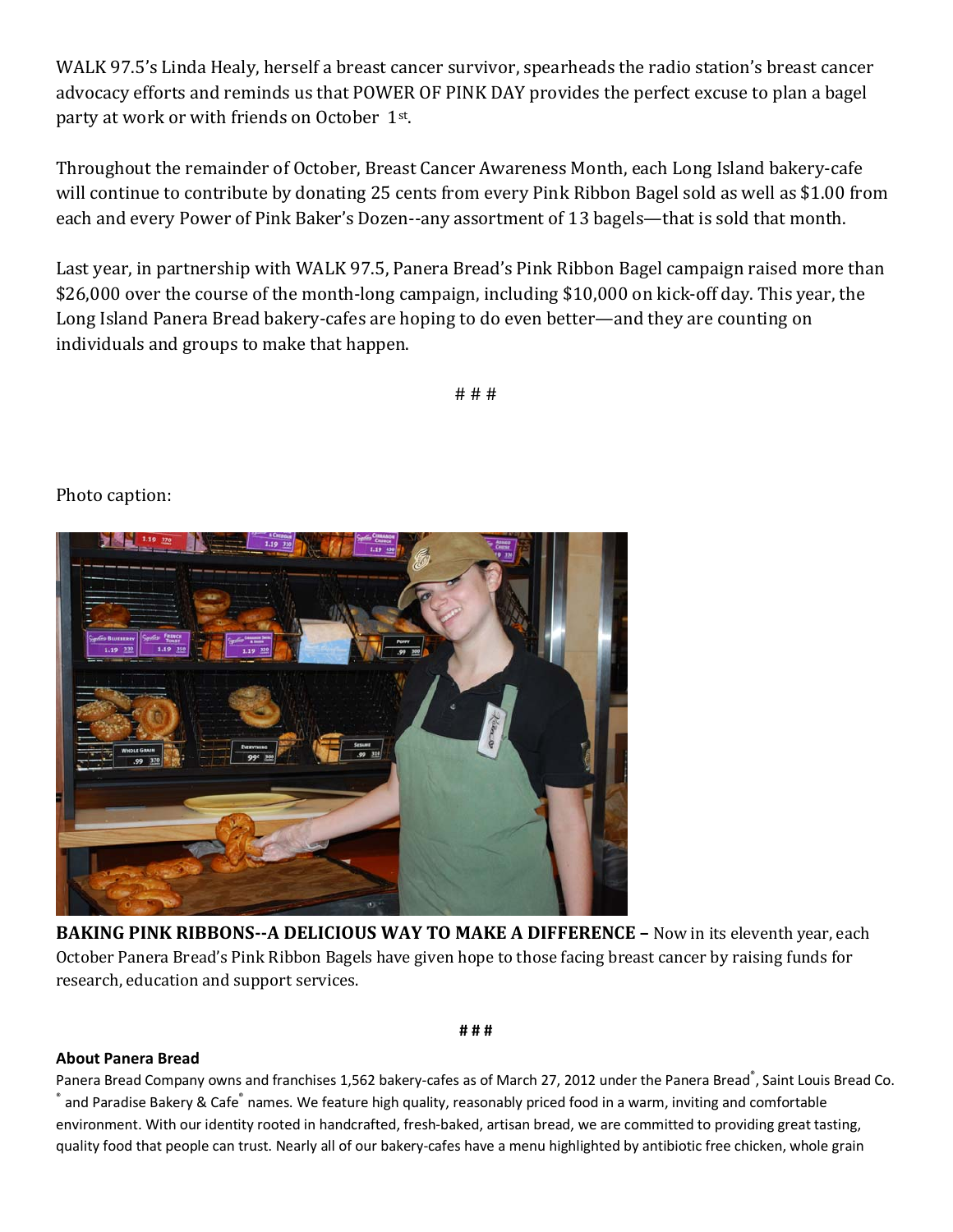WALK 97.5's Linda Healy, herself a breast cancer survivor, spearheads the radio station's breast cancer advocacy efforts and reminds us that POWER OF PINK DAY provides the perfect excuse to plan a bagel party at work or with friends on October 1st.

Throughout the remainder of October, Breast Cancer Awareness Month, each Long Island bakery-cafe will continue to contribute by donating 25 cents from every Pink Ribbon Bagel sold as well as \$1.00 from each and every Power of Pink Baker's Dozen--any assortment of 13 bagels—that is sold that month.

Last year, in partnership with WALK 97.5, Panera Bread's Pink Ribbon Bagel campaign raised more than \$26,000 over the course of the month-long campaign, including \$10,000 on kick-off day. This year, the Long Island Panera Bread bakery-cafes are hoping to do even better—and they are counting on individuals and groups to make that happen.

# # #

### Photo caption:



**BAKING PINK RIBBONS--A DELICIOUS WAY TO MAKE A DIFFERENCE –** Now in its eleventh year, each October Panera Bread's Pink Ribbon Bagels have given hope to those facing breast cancer by raising funds for research, education and support services.

**# # #** 

#### **About Panera Bread**

Panera Bread Company owns and franchises 1,562 bakery-cafes as of March 27, 2012 under the Panera Bread<sup>®</sup>, Saint Louis Bread Co.  $\degree$  and Paradise Bakery & Cafe $\degree$  names. We feature high quality, reasonably priced food in a warm, inviting and comfortable environment. With our identity rooted in handcrafted, fresh-baked, artisan bread, we are committed to providing great tasting, quality food that people can trust. Nearly all of our bakery-cafes have a menu highlighted by antibiotic free chicken, whole grain